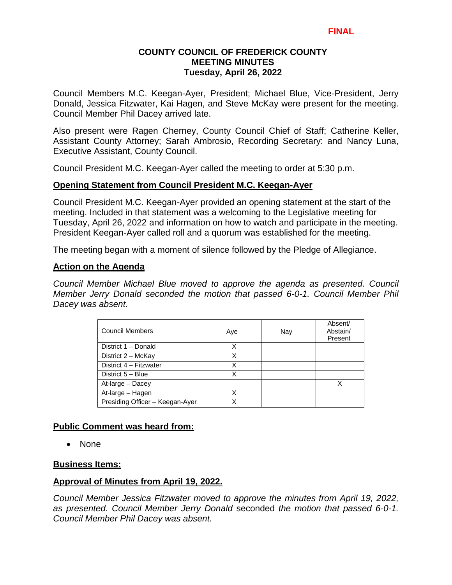## **COUNTY COUNCIL OF FREDERICK COUNTY MEETING MINUTES Tuesday, April 26, 2022**

Council Members M.C. Keegan-Ayer, President; Michael Blue, Vice-President, Jerry Donald, Jessica Fitzwater, Kai Hagen, and Steve McKay were present for the meeting. Council Member Phil Dacey arrived late.

Also present were Ragen Cherney, County Council Chief of Staff; Catherine Keller, Assistant County Attorney; Sarah Ambrosio, Recording Secretary: and Nancy Luna, Executive Assistant, County Council.

Council President M.C. Keegan-Ayer called the meeting to order at 5:30 p.m.

## **Opening Statement from Council President M.C. Keegan-Ayer**

Council President M.C. Keegan-Ayer provided an opening statement at the start of the meeting. Included in that statement was a welcoming to the Legislative meeting for Tuesday, April 26, 2022 and information on how to watch and participate in the meeting. President Keegan-Ayer called roll and a quorum was established for the meeting.

The meeting began with a moment of silence followed by the Pledge of Allegiance.

#### **Action on the Agenda**

*Council Member Michael Blue moved to approve the agenda as presented. Council Member Jerry Donald seconded the motion that passed 6-0-1. Council Member Phil Dacey was absent.* 

| Council Members                 | Aye | Nay | Absent/<br>Abstain/<br>Present |
|---------------------------------|-----|-----|--------------------------------|
| District 1 - Donald             | x   |     |                                |
| District 2 - McKay              | x   |     |                                |
| District 4 - Fitzwater          | x   |     |                                |
| District 5 - Blue               | x   |     |                                |
| At-large - Dacey                |     |     | x                              |
| At-large - Hagen                |     |     |                                |
| Presiding Officer - Keegan-Ayer | γ   |     |                                |

## **Public Comment was heard from:**

• None

#### **Business Items:**

## **Approval of Minutes from April 19, 2022.**

*Council Member Jessica Fitzwater moved to approve the minutes from April 19, 2022, as presented. Council Member Jerry Donald* seconded *the motion that passed 6-0-1. Council Member Phil Dacey was absent.*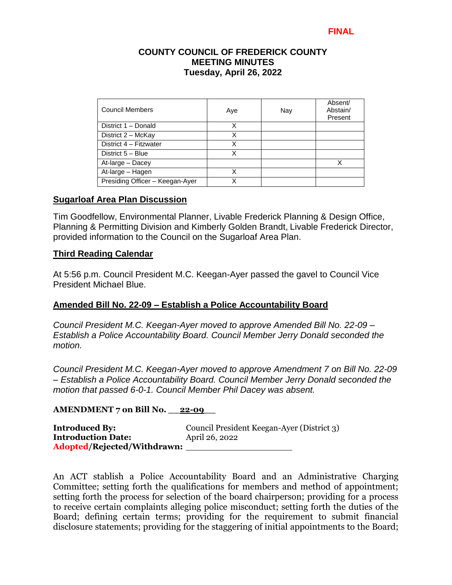## **COUNTY COUNCIL OF FREDERICK COUNTY MEETING MINUTES Tuesday, April 26, 2022**

| <b>Council Members</b>          | Aye | Nay | Absent/<br>Abstain/<br>Present |
|---------------------------------|-----|-----|--------------------------------|
| District 1 - Donald             | x   |     |                                |
| District 2 - McKay              | Χ   |     |                                |
| District 4 - Fitzwater          | X   |     |                                |
| District 5 - Blue               | x   |     |                                |
| At-large - Dacey                |     |     | Χ                              |
| At-large - Hagen                |     |     |                                |
| Presiding Officer - Keegan-Ayer | χ   |     |                                |

### **Sugarloaf Area Plan Discussion**

Tim Goodfellow, Environmental Planner, Livable Frederick Planning & Design Office, Planning & Permitting Division and Kimberly Golden Brandt, Livable Frederick Director, provided information to the Council on the Sugarloaf Area Plan.

### **Third Reading Calendar**

At 5:56 p.m. Council President M.C. Keegan-Ayer passed the gavel to Council Vice President Michael Blue.

## **Amended Bill No. 22-09 – Establish a Police Accountability Board**

*Council President M.C. Keegan-Ayer moved to approve Amended Bill No. 22-09 – Establish a Police Accountability Board. Council Member Jerry Donald seconded the motion.*

*Council President M.C. Keegan-Ayer moved to approve Amendment 7 on Bill No. 22-09 – Establish a Police Accountability Board. Council Member Jerry Donald seconded the motion that passed 6-0-1. Council Member Phil Dacey was absent.*

#### **AMENDMENT 7 on Bill No. \_\_22-09\_\_**

**Introduced By:** Council President Keegan-Ayer (District 3) **Introduction Date:** April 26, 2022 **Adopted/Rejected/Withdrawn:**

An ACT stablish a Police Accountability Board and an Administrative Charging Committee; setting forth the qualifications for members and method of appointment; setting forth the process for selection of the board chairperson; providing for a process to receive certain complaints alleging police misconduct; setting forth the duties of the Board; defining certain terms; providing for the requirement to submit financial disclosure statements; providing for the staggering of initial appointments to the Board;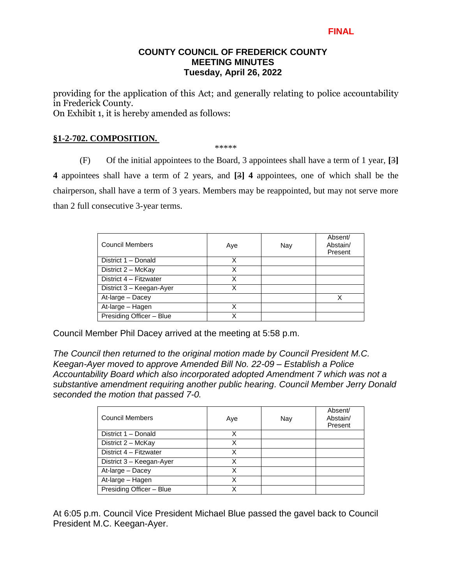### **FINAL**

### **COUNTY COUNCIL OF FREDERICK COUNTY MEETING MINUTES Tuesday, April 26, 2022**

providing for the application of this Act; and generally relating to police accountability in Frederick County.

On Exhibit 1, it is hereby amended as follows:

## **§1-2-702. COMPOSITION.**

\*\*\*\*\*

(F) Of the initial appointees to the Board, 3 appointees shall have a term of 1 year, **[**3**] 4** appointees shall have a term of 2 years, and **[**3**] 4** appointees, one of which shall be the chairperson, shall have a term of 3 years. Members may be reappointed, but may not serve more than 2 full consecutive 3-year terms.

| <b>Council Members</b>   | Aye | Nay | Absent/<br>Abstain/<br>Present |
|--------------------------|-----|-----|--------------------------------|
| District 1 - Donald      | x   |     |                                |
| District 2 - McKay       | x   |     |                                |
| District 4 - Fitzwater   | x   |     |                                |
| District 3 - Keegan-Ayer | x   |     |                                |
| At-large - Dacey         |     |     | x                              |
| At-large - Hagen         | x   |     |                                |
| Presiding Officer - Blue | x   |     |                                |

Council Member Phil Dacey arrived at the meeting at 5:58 p.m.

*The Council then returned to the original motion made by Council President M.C. Keegan-Ayer moved to approve Amended Bill No. 22-09 – Establish a Police Accountability Board which also incorporated adopted Amendment 7 which was not a substantive amendment requiring another public hearing. Council Member Jerry Donald seconded the motion that passed 7-0.*

| <b>Council Members</b>   | Aye | Nay | Absent/<br>Abstain/<br>Present |
|--------------------------|-----|-----|--------------------------------|
| District 1 - Donald      | Χ   |     |                                |
| District 2 - McKay       | x   |     |                                |
| District 4 - Fitzwater   | х   |     |                                |
| District 3 - Keegan-Ayer | х   |     |                                |
| At-large - Dacey         | Χ   |     |                                |
| At-large - Hagen         | x   |     |                                |
| Presiding Officer - Blue | x   |     |                                |

At 6:05 p.m. Council Vice President Michael Blue passed the gavel back to Council President M.C. Keegan-Ayer.